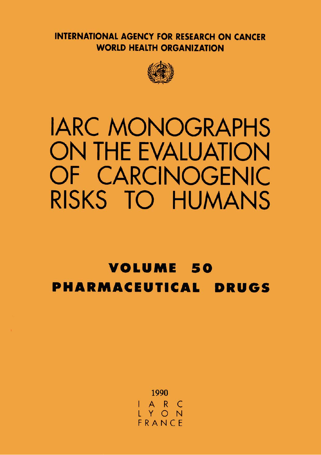**INTERNATIONAL AGENCY FOR RESEARCH ON CANCER WORLD HEALTH ORGANIZATION** 



# **IARC MONOGRAPHS ON THE EVALUATION** OF CARCINOGENIC RISKS TO HUMANS

# **VOLUME 50 PHARMACEUTICAL DRUGS**

1990 ARC IY O FRANCE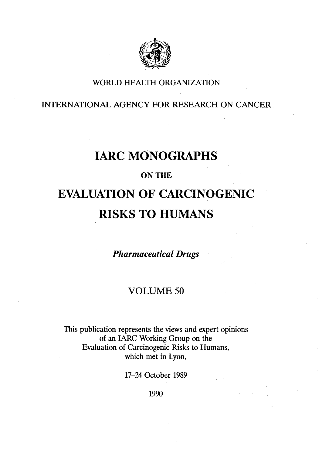

## WORLD HEALTH ORGANIZATION

INTERNATONAL AGENCY FOR RESEARCH ON CANCER

# **IARC MONOGRAPHS**

### ON THE

# EVALUATION OF CARCINOGENIC **RISKS TO HUMANS**

Pharmaceutical Drugs

## VOLUME 50

This publication represents the views and expert opinions of an IAC Working Group on the Evaluation of Carcinogenic Risks to Humans, which met in Lyon,

17-24 October 1989

1990